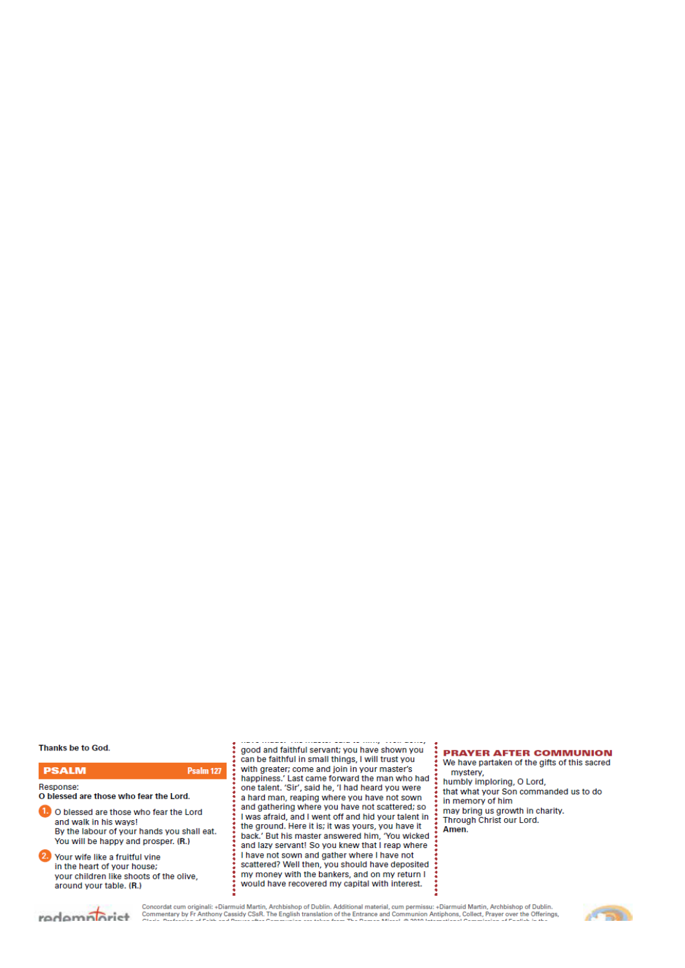# *Our Lady & St Edmund of Abingdon 1 Radley Rd, Abingdon on Thames, Oxon, OX14 3PL*

We are a **LiveSimply** parish aiming to live Simply, Sustainably and in Solidarity with the Poor

| Parish Priest:              | Fr. Jamie McGrath                                               | Tel: 01235 520375 |  |
|-----------------------------|-----------------------------------------------------------------|-------------------|--|
| Parish Secretary:           | Lisa Paterson                                                   | Tel: 01235 520375 |  |
| Office Hours:               | 10.30am-12.30pm Tuesday to Friday                               |                   |  |
| Office Email:               | abingdon@portsmouthdiocese.org.uk                               |                   |  |
| We live stream all services |                                                                 |                   |  |
| Safeguarding Team:          | Tel. 07572 935 230                                              |                   |  |
| Visits at JR Hospital:      | Fr Pius 01865 221732                                            |                   |  |
| Visits and Help:            | Society of Vincent de Paul Group, contact via Parish Office     |                   |  |
| Parish Website:             | www.ourladyandstedmund.org.uk                                   |                   |  |
| Primary School:             | St. Edmund's School, Radley Road, Abingdon, OX14 3PP Tel 521558 |                   |  |
|                             |                                                                 |                   |  |

Roman Catholic Diocese of Portsmouth Reg. Charity No 246871 www.portsmouthdiocese.org.uk

### **PARISH OFFICE OPENING HOURS:**

Please note that during this second period of lockdown, and until further notice, the Parish Office opening hours will be from **Tuesdays to Fridays from 10.30am to 12.30pm**. Outside of these times, Fr Jamie will respond to urgent phone messages as soon as he can.

### **MASSES:**

Sadly, until further notice, physical attendance at Mass is not possible. You can follow all Masses on our live stream. See our website for the link.

## **PRIVATE PRAYER**

We are blessed that the church can be open, but for **private prayer only**, on the following days and times:

- *Tuesdays:* **12pm to 1pm**
- *Thursdays:* **7.30am to 8.30am**
- *Fridays:* **12pm to 1pm.**

### **ST EDMUND OF ABINGDON:**

The solemnity of St Edmund of Abingdon is on Monday 16th November. Join us for Mass at 9am on our live stream to pray for his intercession for our parish and diocese.

### **DAY OF PRAYER TO END THE COVID CRISIS**

Bishop Philip invites us to keep with him a special Day of Prayer and Fasting for an End to the Coronavirus Pandemic. The Day is called *"Twenty-Four Hours with the Lord"* and will take place on **Friday 27th November** This is the last Friday of the Church's Liturgical Year before we enter the new Year with the First Sunday of Advent on 29th November – please save the date. There will be a twenty-four hour long programme of Mass, prayer, Rosary and Eucharistic Adoration at Portsmouth Cathedral, including an all-night vigil, of which you we are invited to join in as much as you can by live stream. You can see the proposed programme on our website news page. *In our parish, you are invited to join in praying the Rosary at 8pm on Zoom. Email, well in advance, contact@ourladyandstedmund.org.uk to get the joining in details.*

|                           | 33 <sup>rd</sup> week of Ordinary Time |
|---------------------------|----------------------------------------|
|                           | <b>Live streamed ONLY</b>              |
| <b>Sunday 15 November</b> |                                        |
| $10.15$ am<br>Mass        | (Mary Louise Field, RIP)               |

2.00pm Polish Mass

**Monday 16 November** *St Edmund of Abingdon*

9am Mass (Sir George Bowyer, RIP)

### **Tuesday 17 November**

NO Mass See: *www.ourladyandstedmund.org.uk/englishmartyrs-vale-of-white-horse* for other masses

#### **Wednesday 18 November**

| 7pm    | Mass                        | (Joan Turner & Elizabeth Silvester)<br>93 <sup>rd</sup> Birthday Intentions) |
|--------|-----------------------------|------------------------------------------------------------------------------|
|        | <b>Thursday 19 November</b> |                                                                              |
| 9.30am | Mass                        | (Joe, Gertie & other deceased<br>members of Price Family, RIP)               |

| <b>Friday 20 November</b> |                             |                                                              |  |  |  |
|---------------------------|-----------------------------|--------------------------------------------------------------|--|--|--|
| 7pm                       | Mass                        | (William Seery, RIP)                                         |  |  |  |
|                           |                             |                                                              |  |  |  |
|                           | <b>Saturday 21 November</b> | <b>The Presentation of the</b><br><b>Blessed Virgin Mary</b> |  |  |  |



### **SPIRITUAL COMMUNION PRAYER:**

My Jesus, I believe that You are present in the Most Blessed Sacrament. I love You above all things, and I desire to receive You into my soul. Since I cannot today receive You sacramentally, come at least spiritually into my heart. I embrace You as if You were already there, and unite myself wholly to